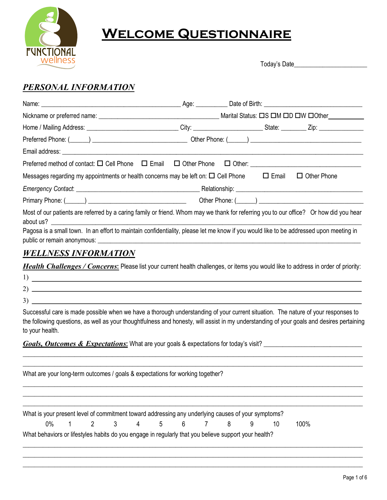

# **Welcome Questionnaire**

Today's Date\_\_\_\_\_\_\_\_\_\_\_\_\_\_\_\_\_\_\_\_\_\_\_

## *PERSONAL INFORMATION*

| Messages regarding my appointments or health concerns may be left on: $\square$ Cell Phone $\square$ Email                                                                                                                                                                |  | $\Box$ Other Phone |  |  |  |  |
|---------------------------------------------------------------------------------------------------------------------------------------------------------------------------------------------------------------------------------------------------------------------------|--|--------------------|--|--|--|--|
|                                                                                                                                                                                                                                                                           |  |                    |  |  |  |  |
|                                                                                                                                                                                                                                                                           |  |                    |  |  |  |  |
| Most of our patients are referred by a caring family or friend. Whom may we thank for referring you to our office? Or how did you hear                                                                                                                                    |  |                    |  |  |  |  |
| Pagosa is a small town. In an effort to maintain confidentiality, please let me know if you would like to be addressed upon meeting in                                                                                                                                    |  |                    |  |  |  |  |
| <b>WELLNESS INFORMATION</b>                                                                                                                                                                                                                                               |  |                    |  |  |  |  |
| <b>Health Challenges / Concerns:</b> Please list your current health challenges, or items you would like to address in order of priority:<br>1)<br><u> 1980 - Andrea Aonaichte ann an Comhair ann an t-Èireann an t-Èireann an t-Èireann an t-Èireann an t-Èireann an</u> |  |                    |  |  |  |  |
|                                                                                                                                                                                                                                                                           |  |                    |  |  |  |  |

3)

Successful care is made possible when we have a thorough understanding of your current situation. The nature of your responses to the following questions, as well as your thoughtfulness and honesty, will assist in my understanding of your goals and desires pertaining to your health.

\_\_\_\_\_\_\_\_\_\_\_\_\_\_\_\_\_\_\_\_\_\_\_\_\_\_\_\_\_\_\_\_\_\_\_\_\_\_\_\_\_\_\_\_\_\_\_\_\_\_\_\_\_\_\_\_\_\_\_\_\_\_\_\_\_\_\_\_\_\_\_\_\_\_\_\_\_\_\_\_\_\_\_\_\_\_\_\_\_\_\_\_\_\_\_\_\_\_\_\_\_\_\_\_\_\_\_\_\_\_\_\_\_\_\_\_\_\_

*Goals, Outcomes & Expectations***:** What are your goals & expectations for today's visit? \_\_\_\_\_\_\_\_\_\_\_\_\_\_\_\_\_\_\_\_\_\_\_\_\_\_\_\_\_\_\_

| What are your long-term outcomes / goals & expectations for working together?                        |  |  |  |  |                    |   |    |      |
|------------------------------------------------------------------------------------------------------|--|--|--|--|--------------------|---|----|------|
|                                                                                                      |  |  |  |  |                    |   |    |      |
|                                                                                                      |  |  |  |  |                    |   |    |      |
|                                                                                                      |  |  |  |  |                    |   |    |      |
| What is your present level of commitment toward addressing any underlying causes of your symptoms?   |  |  |  |  |                    |   |    |      |
|                                                                                                      |  |  |  |  | 0% 1 2 3 4 5 6 7 8 | 9 | 10 | 100% |
| What behaviors or lifestyles habits do you engage in regularly that you believe support your health? |  |  |  |  |                    |   |    |      |
|                                                                                                      |  |  |  |  |                    |   |    |      |
|                                                                                                      |  |  |  |  |                    |   |    |      |

\_\_\_\_\_\_\_\_\_\_\_\_\_\_\_\_\_\_\_\_\_\_\_\_\_\_\_\_\_\_\_\_\_\_\_\_\_\_\_\_\_\_\_\_\_\_\_\_\_\_\_\_\_\_\_\_\_\_\_\_\_\_\_\_\_\_\_\_\_\_\_\_\_\_\_\_\_\_\_\_\_\_\_\_\_\_\_\_\_\_\_\_\_\_\_\_\_\_\_\_\_\_\_\_\_\_\_\_\_\_\_\_\_\_\_\_\_\_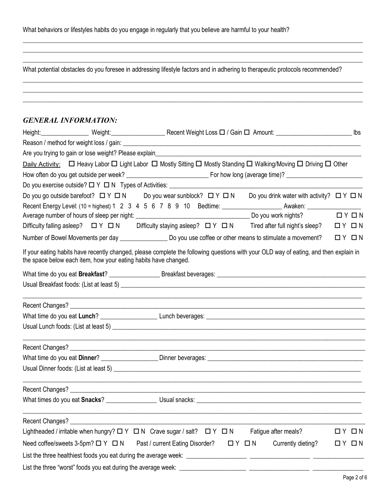|  | What behaviors or lifestyles habits do you engage in regularly that you believe are harmful to your health? |
|--|-------------------------------------------------------------------------------------------------------------|
|  |                                                                                                             |

What potential obstacles do you foresee in addressing lifestyle factors and in adhering to therapeutic protocols recommended?

\_\_\_\_\_\_\_\_\_\_\_\_\_\_\_\_\_\_\_\_\_\_\_\_\_\_\_\_\_\_\_\_\_\_\_\_\_\_\_\_\_\_\_\_\_\_\_\_\_\_\_\_\_\_\_\_\_\_\_\_\_\_\_\_\_\_\_\_\_\_\_\_\_\_\_\_\_\_\_\_\_\_\_\_\_\_\_\_\_\_\_\_\_\_\_\_\_\_\_\_\_\_\_\_\_\_\_\_\_\_\_\_\_\_\_\_\_\_ \_\_\_\_\_\_\_\_\_\_\_\_\_\_\_\_\_\_\_\_\_\_\_\_\_\_\_\_\_\_\_\_\_\_\_\_\_\_\_\_\_\_\_\_\_\_\_\_\_\_\_\_\_\_\_\_\_\_\_\_\_\_\_\_\_\_\_\_\_\_\_\_\_\_\_\_\_\_\_\_\_\_\_\_\_\_\_\_\_\_\_\_\_\_\_\_\_\_\_\_\_\_\_\_\_\_\_\_\_\_\_\_\_\_\_\_\_\_ \_\_\_\_\_\_\_\_\_\_\_\_\_\_\_\_\_\_\_\_\_\_\_\_\_\_\_\_\_\_\_\_\_\_\_\_\_\_\_\_\_\_\_\_\_\_\_\_\_\_\_\_\_\_\_\_\_\_\_\_\_\_\_\_\_\_\_\_\_\_\_\_\_\_\_\_\_\_\_\_\_\_\_\_\_\_\_\_\_\_\_\_\_\_\_\_\_\_\_\_\_\_\_\_\_\_\_\_\_\_\_\_\_\_\_\_\_\_

 $\_$  , and the set of the set of the set of the set of the set of the set of the set of the set of the set of the set of the set of the set of the set of the set of the set of the set of the set of the set of the set of th  $\_$  , and the set of the set of the set of the set of the set of the set of the set of the set of the set of the set of the set of the set of the set of the set of the set of the set of the set of the set of the set of th  $\_$  , and the set of the set of the set of the set of the set of the set of the set of the set of the set of the set of the set of the set of the set of the set of the set of the set of the set of the set of the set of th

#### *GENERAL INFORMATION:*

|                                                                 | Height: Weight: Weight: Weight: Recent Weight Loss $\Box$ / Gain $\Box$ Amount: Network Loss in the United States of the United States of the United States United States United States United States United States United States |          |                       |
|-----------------------------------------------------------------|-----------------------------------------------------------------------------------------------------------------------------------------------------------------------------------------------------------------------------------|----------|-----------------------|
|                                                                 |                                                                                                                                                                                                                                   |          |                       |
|                                                                 |                                                                                                                                                                                                                                   |          |                       |
|                                                                 | Daily Activity: □ Heavy Labor □ Light Labor □ Mostly Sitting □ Mostly Standing □ Walking/Moving □ Driving □ Other                                                                                                                 |          |                       |
|                                                                 |                                                                                                                                                                                                                                   |          |                       |
|                                                                 |                                                                                                                                                                                                                                   |          |                       |
|                                                                 | Do you go outside barefoot? ロ Y ロ N Do you wear sunblock? ロ Y ロ N<br>Do you drink water with activity? $\Box Y \Box N$                                                                                                            |          |                       |
|                                                                 |                                                                                                                                                                                                                                   |          |                       |
|                                                                 |                                                                                                                                                                                                                                   |          | $\Box$ $Y$ $\Box$ $N$ |
|                                                                 | Difficulty falling asleep? $\Box Y \Box N$ Difficulty staying asleep? $\Box Y \Box N$ Tired after full night's sleep?                                                                                                             | $\Box$ Y | □N                    |
|                                                                 |                                                                                                                                                                                                                                   |          | $\Box$ $Y$ $\Box$ $N$ |
| the space below each item, how your eating habits have changed. | If your eating habits have recently changed, please complete the following questions with your OLD way of eating, and then explain in                                                                                             |          |                       |
|                                                                 |                                                                                                                                                                                                                                   |          |                       |
|                                                                 |                                                                                                                                                                                                                                   |          |                       |
|                                                                 | ,我们也不能在这里的时候,我们也不能在这里的时候,我们也不能在这里的时候,我们也不能会在这里的时候,我们也不能会在这里的时候,我们也不能会在这里的时候,我们也不                                                                                                                                                  |          |                       |
|                                                                 |                                                                                                                                                                                                                                   |          |                       |
|                                                                 |                                                                                                                                                                                                                                   |          |                       |
|                                                                 |                                                                                                                                                                                                                                   |          |                       |
|                                                                 |                                                                                                                                                                                                                                   |          |                       |
|                                                                 |                                                                                                                                                                                                                                   |          |                       |
|                                                                 |                                                                                                                                                                                                                                   |          |                       |
|                                                                 |                                                                                                                                                                                                                                   |          |                       |
| Recent Changes?                                                 |                                                                                                                                                                                                                                   |          |                       |
|                                                                 | Lightheaded / irritable when hungry? $\Box Y \Box N$ Crave sugar / salt? $\Box Y \Box N$<br>Fatigue after meals?                                                                                                                  |          | $\Box$ $Y$ $\Box$ $N$ |
| Need coffee/sweets 3-5pm? $\Box$ Y $\Box$ N                     | Currently dieting?<br>Past / current Eating Disorder?<br>$\Box$ $Y$ $\Box$ $N$                                                                                                                                                    |          | $\Box$ $Y$ $\Box$ $N$ |
|                                                                 |                                                                                                                                                                                                                                   |          |                       |
|                                                                 |                                                                                                                                                                                                                                   |          |                       |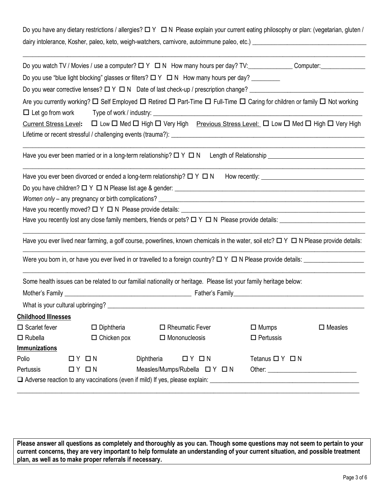Do you have any dietary restrictions / allergies?  $\Box$  Y  $\Box$  N Please explain your current eating philosophy or plan: (vegetarian, gluten / dairy intolerance, Kosher, paleo, keto, weigh-watchers, carnivore, autoimmune paleo, etc.) \_\_\_\_\_\_\_\_\_\_\_\_\_\_\_\_\_\_\_\_\_\_\_\_\_\_\_\_\_\_\_\_\_\_\_\_

| Do you use "blue light blocking" glasses or filters? $\Box Y \Box N$ How many hours per day? _________<br>Do you wear corrective lenses? $\Box Y \Box N$ Date of last check-up / prescription change?<br>Are you currently working? $\Box$ Self Employed $\Box$ Retired $\Box$ Part-Time $\Box$ Full-Time $\Box$ Caring for children or family $\Box$ Not working<br><u>Current Stress Level</u> : $\Box$ Low $\Box$ Med $\Box$ High $\Box$ Very High Previous Stress Level: $\Box$ Low $\Box$ Med $\Box$ High $\Box$ Very High<br>Have you ever been divorced or ended a long-term relationship? $\Box Y \Box N$<br>Have you recently lost any close family members, friends or pets? $\Box$ Y $\Box$ N Please provide details: $\Box$<br>Have you ever lived near farming, a golf course, powerlines, known chemicals in the water, soil etc? $\Box$ $\land$ $\Box$ N Please provide details:<br>Some health issues can be related to our familial nationality or heritage. Please list your family heritage below:<br><b>Childhood Illnesses</b><br>$\Box$ Scarlet fever<br>$\square$ Diphtheria<br>$\Box$ Mumps<br>$\square$ Measles<br>$\Box$ Rheumatic Fever<br>$\Box$ Mononucleosis<br>$\Box$ Rubella<br>$\Box$ Chicken pox<br>$\Box$ Pertussis<br>Immunizations<br>Diphtheria<br>Polio<br>$\Box$ $Y$ $\Box$ $N$<br>$\Box$ $Y$ $\Box$ $N$<br>Tetanus $\Box$ Y $\Box$ N<br>Measles/Mumps/Rubella ロ Y ロ N<br>Pertussis<br>$\Box$ $Y$ $\Box$ $N$ |  |  |  |  |  |  |  |  |  |
|------------------------------------------------------------------------------------------------------------------------------------------------------------------------------------------------------------------------------------------------------------------------------------------------------------------------------------------------------------------------------------------------------------------------------------------------------------------------------------------------------------------------------------------------------------------------------------------------------------------------------------------------------------------------------------------------------------------------------------------------------------------------------------------------------------------------------------------------------------------------------------------------------------------------------------------------------------------------------------------------------------------------------------------------------------------------------------------------------------------------------------------------------------------------------------------------------------------------------------------------------------------------------------------------------------------------------------------------------------------------------------------------------------------------------------------------------|--|--|--|--|--|--|--|--|--|
|                                                                                                                                                                                                                                                                                                                                                                                                                                                                                                                                                                                                                                                                                                                                                                                                                                                                                                                                                                                                                                                                                                                                                                                                                                                                                                                                                                                                                                                      |  |  |  |  |  |  |  |  |  |
|                                                                                                                                                                                                                                                                                                                                                                                                                                                                                                                                                                                                                                                                                                                                                                                                                                                                                                                                                                                                                                                                                                                                                                                                                                                                                                                                                                                                                                                      |  |  |  |  |  |  |  |  |  |
|                                                                                                                                                                                                                                                                                                                                                                                                                                                                                                                                                                                                                                                                                                                                                                                                                                                                                                                                                                                                                                                                                                                                                                                                                                                                                                                                                                                                                                                      |  |  |  |  |  |  |  |  |  |
|                                                                                                                                                                                                                                                                                                                                                                                                                                                                                                                                                                                                                                                                                                                                                                                                                                                                                                                                                                                                                                                                                                                                                                                                                                                                                                                                                                                                                                                      |  |  |  |  |  |  |  |  |  |
|                                                                                                                                                                                                                                                                                                                                                                                                                                                                                                                                                                                                                                                                                                                                                                                                                                                                                                                                                                                                                                                                                                                                                                                                                                                                                                                                                                                                                                                      |  |  |  |  |  |  |  |  |  |
|                                                                                                                                                                                                                                                                                                                                                                                                                                                                                                                                                                                                                                                                                                                                                                                                                                                                                                                                                                                                                                                                                                                                                                                                                                                                                                                                                                                                                                                      |  |  |  |  |  |  |  |  |  |
|                                                                                                                                                                                                                                                                                                                                                                                                                                                                                                                                                                                                                                                                                                                                                                                                                                                                                                                                                                                                                                                                                                                                                                                                                                                                                                                                                                                                                                                      |  |  |  |  |  |  |  |  |  |
|                                                                                                                                                                                                                                                                                                                                                                                                                                                                                                                                                                                                                                                                                                                                                                                                                                                                                                                                                                                                                                                                                                                                                                                                                                                                                                                                                                                                                                                      |  |  |  |  |  |  |  |  |  |
|                                                                                                                                                                                                                                                                                                                                                                                                                                                                                                                                                                                                                                                                                                                                                                                                                                                                                                                                                                                                                                                                                                                                                                                                                                                                                                                                                                                                                                                      |  |  |  |  |  |  |  |  |  |
|                                                                                                                                                                                                                                                                                                                                                                                                                                                                                                                                                                                                                                                                                                                                                                                                                                                                                                                                                                                                                                                                                                                                                                                                                                                                                                                                                                                                                                                      |  |  |  |  |  |  |  |  |  |
|                                                                                                                                                                                                                                                                                                                                                                                                                                                                                                                                                                                                                                                                                                                                                                                                                                                                                                                                                                                                                                                                                                                                                                                                                                                                                                                                                                                                                                                      |  |  |  |  |  |  |  |  |  |
|                                                                                                                                                                                                                                                                                                                                                                                                                                                                                                                                                                                                                                                                                                                                                                                                                                                                                                                                                                                                                                                                                                                                                                                                                                                                                                                                                                                                                                                      |  |  |  |  |  |  |  |  |  |
|                                                                                                                                                                                                                                                                                                                                                                                                                                                                                                                                                                                                                                                                                                                                                                                                                                                                                                                                                                                                                                                                                                                                                                                                                                                                                                                                                                                                                                                      |  |  |  |  |  |  |  |  |  |
|                                                                                                                                                                                                                                                                                                                                                                                                                                                                                                                                                                                                                                                                                                                                                                                                                                                                                                                                                                                                                                                                                                                                                                                                                                                                                                                                                                                                                                                      |  |  |  |  |  |  |  |  |  |
|                                                                                                                                                                                                                                                                                                                                                                                                                                                                                                                                                                                                                                                                                                                                                                                                                                                                                                                                                                                                                                                                                                                                                                                                                                                                                                                                                                                                                                                      |  |  |  |  |  |  |  |  |  |
|                                                                                                                                                                                                                                                                                                                                                                                                                                                                                                                                                                                                                                                                                                                                                                                                                                                                                                                                                                                                                                                                                                                                                                                                                                                                                                                                                                                                                                                      |  |  |  |  |  |  |  |  |  |
|                                                                                                                                                                                                                                                                                                                                                                                                                                                                                                                                                                                                                                                                                                                                                                                                                                                                                                                                                                                                                                                                                                                                                                                                                                                                                                                                                                                                                                                      |  |  |  |  |  |  |  |  |  |
|                                                                                                                                                                                                                                                                                                                                                                                                                                                                                                                                                                                                                                                                                                                                                                                                                                                                                                                                                                                                                                                                                                                                                                                                                                                                                                                                                                                                                                                      |  |  |  |  |  |  |  |  |  |
|                                                                                                                                                                                                                                                                                                                                                                                                                                                                                                                                                                                                                                                                                                                                                                                                                                                                                                                                                                                                                                                                                                                                                                                                                                                                                                                                                                                                                                                      |  |  |  |  |  |  |  |  |  |
|                                                                                                                                                                                                                                                                                                                                                                                                                                                                                                                                                                                                                                                                                                                                                                                                                                                                                                                                                                                                                                                                                                                                                                                                                                                                                                                                                                                                                                                      |  |  |  |  |  |  |  |  |  |
|                                                                                                                                                                                                                                                                                                                                                                                                                                                                                                                                                                                                                                                                                                                                                                                                                                                                                                                                                                                                                                                                                                                                                                                                                                                                                                                                                                                                                                                      |  |  |  |  |  |  |  |  |  |
|                                                                                                                                                                                                                                                                                                                                                                                                                                                                                                                                                                                                                                                                                                                                                                                                                                                                                                                                                                                                                                                                                                                                                                                                                                                                                                                                                                                                                                                      |  |  |  |  |  |  |  |  |  |
|                                                                                                                                                                                                                                                                                                                                                                                                                                                                                                                                                                                                                                                                                                                                                                                                                                                                                                                                                                                                                                                                                                                                                                                                                                                                                                                                                                                                                                                      |  |  |  |  |  |  |  |  |  |
|                                                                                                                                                                                                                                                                                                                                                                                                                                                                                                                                                                                                                                                                                                                                                                                                                                                                                                                                                                                                                                                                                                                                                                                                                                                                                                                                                                                                                                                      |  |  |  |  |  |  |  |  |  |
|                                                                                                                                                                                                                                                                                                                                                                                                                                                                                                                                                                                                                                                                                                                                                                                                                                                                                                                                                                                                                                                                                                                                                                                                                                                                                                                                                                                                                                                      |  |  |  |  |  |  |  |  |  |
|                                                                                                                                                                                                                                                                                                                                                                                                                                                                                                                                                                                                                                                                                                                                                                                                                                                                                                                                                                                                                                                                                                                                                                                                                                                                                                                                                                                                                                                      |  |  |  |  |  |  |  |  |  |

**Please answer all questions as completely and thoroughly as you can. Though some questions may not seem to pertain to your current concerns, they are very important to help formulate an understanding of your current situation, and possible treatment plan, as well as to make proper referrals if necessary.**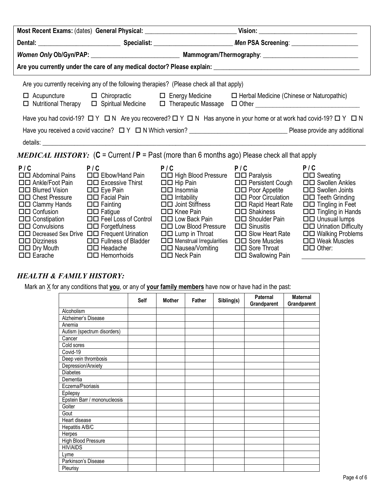|                                                                                                                                                                                                                                                                                                                                         |                                                                                                                                                                                                    | Are you currently receiving any of the following therapies? (Please check all that apply)                                                                                                                                                                                                                                                                                                                           |                                                                                                                                                                                          |                                                                                                                                                                                                                                                                                     |  |  |  |
|-----------------------------------------------------------------------------------------------------------------------------------------------------------------------------------------------------------------------------------------------------------------------------------------------------------------------------------------|----------------------------------------------------------------------------------------------------------------------------------------------------------------------------------------------------|---------------------------------------------------------------------------------------------------------------------------------------------------------------------------------------------------------------------------------------------------------------------------------------------------------------------------------------------------------------------------------------------------------------------|------------------------------------------------------------------------------------------------------------------------------------------------------------------------------------------|-------------------------------------------------------------------------------------------------------------------------------------------------------------------------------------------------------------------------------------------------------------------------------------|--|--|--|
|                                                                                                                                                                                                                                                                                                                                         |                                                                                                                                                                                                    | □ Acupuncture □ Chiropractic □ Energy Medicine □ Herbal Medicine (Chinese or Naturopathic)<br>□ Nutritional Therapy □ Spiritual Medicine □ Therapeutic Massage □ Other ________________________________                                                                                                                                                                                                             |                                                                                                                                                                                          |                                                                                                                                                                                                                                                                                     |  |  |  |
|                                                                                                                                                                                                                                                                                                                                         |                                                                                                                                                                                                    | Have you had covid-19? $\Box$ Y $\Box$ N Are you recovered? $\Box$ Y $\Box$ N Has anyone in your home or at work had covid-19? $\Box$ Y $\Box$ N                                                                                                                                                                                                                                                                    |                                                                                                                                                                                          |                                                                                                                                                                                                                                                                                     |  |  |  |
|                                                                                                                                                                                                                                                                                                                                         |                                                                                                                                                                                                    |                                                                                                                                                                                                                                                                                                                                                                                                                     |                                                                                                                                                                                          |                                                                                                                                                                                                                                                                                     |  |  |  |
|                                                                                                                                                                                                                                                                                                                                         |                                                                                                                                                                                                    |                                                                                                                                                                                                                                                                                                                                                                                                                     |                                                                                                                                                                                          |                                                                                                                                                                                                                                                                                     |  |  |  |
|                                                                                                                                                                                                                                                                                                                                         |                                                                                                                                                                                                    | <b>MEDICAL HISTORY:</b> (C = Current / P = Past (more than 6 months ago) Please check all that apply                                                                                                                                                                                                                                                                                                                |                                                                                                                                                                                          |                                                                                                                                                                                                                                                                                     |  |  |  |
| P/C<br>□□ Abdominal Pains<br>□□ Ankle/Foot Pain<br>$\Box$ Blurred Vision<br>□□ Chest Pressure<br>$\Box$ Clammy Hands<br>$\Box$ $\Box$ Confusion<br>$\Box$ Constipation<br>$\square \square$ Convulsions<br>□□ Decreased Sex Drive □□ Frequent Urination<br>$\square \square$ Dizziness<br>$\Box$ Dry Mouth<br>$\square \square$ Earache | P/C<br>an Tan<br>$\Box$ Eye Pain<br>$\square \square$ Fatigue<br>□□ Feel Loss of Control<br>$\Box$ Forgetfulness<br>$\Box$ Fullness of Bladder<br>$\Box$ Headache<br>$\square \square$ Hemorrhoids | P / C P / C P / C P / C P / C<br>□□ Elbow/Hand Pain □□ High Blood Pressure □□ Paralysis<br>□□ Excessive Thirst □□ Hip Pain □□ Persistent Cough<br>$\square$ Insomnia<br>□□ Facial Pain □□ Irritability<br>□□ Fainting □□ Joint Stiffness<br>□□ Knee Pain<br>□□ Low Back Pain<br>□□ Low Blood Pressure<br>$\Box$ Lump in Throat<br>□□ Menstrual Irregularities □□ Sore Muscles<br>□□ Nausea/Vomiting<br>□□ Neck Pain | □□ Poor Appetite<br>ロロ Poor Circulation<br>□□ Rapid Heart Rate<br>□□ Shakiness<br>□□ Shoulder Pain<br>$\Box$ Sinusitis<br>$\Box$ Slow Heart Rate<br>□□ Sore Throat<br>□□ Swallowing Pain | P/C<br>$\Box$ Sweating<br>□□ Swollen Ankles<br>□□ Swollen Joints<br>$\Box$ Teeth Grinding<br>$\Box$ Tingling in Feet<br>$\Box$ $\Box$ Tingling in Hands<br>$\Box$ Unusual lumps<br><b>OD</b> Urination Difficulty<br>□□ Walking Problems<br>ロロ Weak Muscles<br>$\Box$ $\Box$ Other: |  |  |  |

#### *HEALTH & FAMILY HISTORY:*

Mark an X for any conditions that **you**, or any of **your family members** have now or have had in the past:

|                              | Self | <b>Mother</b> | <b>Father</b> | Sibling(s) | Paternal<br>Grandparent | <b>Maternal</b><br>Grandparent |
|------------------------------|------|---------------|---------------|------------|-------------------------|--------------------------------|
| Alcoholism                   |      |               |               |            |                         |                                |
| Alzheimer's Disease          |      |               |               |            |                         |                                |
| Anemia                       |      |               |               |            |                         |                                |
| Autism (spectrum disorders)  |      |               |               |            |                         |                                |
| Cancer                       |      |               |               |            |                         |                                |
| Cold sores                   |      |               |               |            |                         |                                |
| Covid-19                     |      |               |               |            |                         |                                |
| Deep vein thrombosis         |      |               |               |            |                         |                                |
| Depression/Anxiety           |      |               |               |            |                         |                                |
| <b>Diabetes</b>              |      |               |               |            |                         |                                |
| Dementia                     |      |               |               |            |                         |                                |
| Eczema/Psoriasis             |      |               |               |            |                         |                                |
| Epilepsy                     |      |               |               |            |                         |                                |
| Epstein Barr / mononucleosis |      |               |               |            |                         |                                |
| Goiter                       |      |               |               |            |                         |                                |
| Gout                         |      |               |               |            |                         |                                |
| Heart disease                |      |               |               |            |                         |                                |
| Hepatitis A/B/C              |      |               |               |            |                         |                                |
| Herpes                       |      |               |               |            |                         |                                |
| <b>High Blood Pressure</b>   |      |               |               |            |                         |                                |
| <b>HIV/AIDS</b>              |      |               |               |            |                         |                                |
| Lyme                         |      |               |               |            |                         |                                |
| Parkinson's Disease          |      |               |               |            |                         |                                |
| Pleurisy                     |      |               |               |            |                         |                                |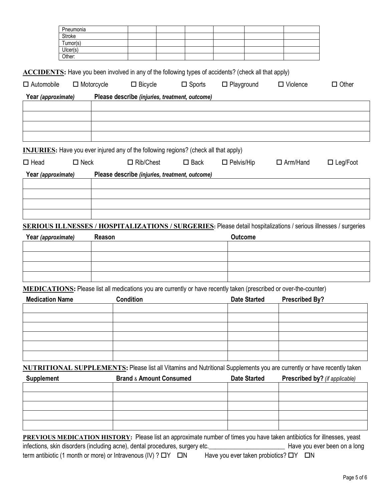| Pneumonia                                                                                                                      |                                                |                                    |                  |                   |                     |                       |                                |
|--------------------------------------------------------------------------------------------------------------------------------|------------------------------------------------|------------------------------------|------------------|-------------------|---------------------|-----------------------|--------------------------------|
| Stroke<br>Tumor(s)                                                                                                             |                                                |                                    |                  |                   |                     |                       |                                |
| Ulcer(s)                                                                                                                       |                                                |                                    |                  |                   |                     |                       |                                |
| Other:                                                                                                                         |                                                |                                    |                  |                   |                     |                       |                                |
| <b>ACCIDENTS:</b> Have you been involved in any of the following types of accidents? (check all that apply)                    |                                                |                                    |                  |                   |                     |                       |                                |
| $\Box$ Motorcycle<br>$\Box$ Automobile                                                                                         |                                                | $\Box$ Bicycle                     | $\square$ Sports | $\Box$ Playground |                     | $\Box$ Violence       | $\Box$ Other                   |
| Year (approximate)                                                                                                             | Please describe (injuries, treatment, outcome) |                                    |                  |                   |                     |                       |                                |
|                                                                                                                                |                                                |                                    |                  |                   |                     |                       |                                |
|                                                                                                                                |                                                |                                    |                  |                   |                     |                       |                                |
|                                                                                                                                |                                                |                                    |                  |                   |                     |                       |                                |
|                                                                                                                                |                                                |                                    |                  |                   |                     |                       |                                |
| <b>INJURIES:</b> Have you ever injured any of the following regions? (check all that apply)                                    |                                                |                                    |                  |                   |                     |                       |                                |
| $\square$ Neck<br>$\Box$ Head                                                                                                  |                                                | $\Box$ Rib/Chest                   | $\square$ Back   | $\Box$ Pelvis/Hip |                     | $\Box$ Arm/Hand       | $\Box$ Leg/Foot                |
| Year (approximate)                                                                                                             | Please describe (injuries, treatment, outcome) |                                    |                  |                   |                     |                       |                                |
|                                                                                                                                |                                                |                                    |                  |                   |                     |                       |                                |
|                                                                                                                                |                                                |                                    |                  |                   |                     |                       |                                |
|                                                                                                                                |                                                |                                    |                  |                   |                     |                       |                                |
| <b>SERIOUS ILLNESSES / HOSPITALIZATIONS / SURGERIES:</b> Please detail hospitalizations / serious illnesses / surgeries        |                                                |                                    |                  |                   |                     |                       |                                |
| Year (approximate)                                                                                                             | Reason                                         |                                    |                  | <b>Outcome</b>    |                     |                       |                                |
|                                                                                                                                |                                                |                                    |                  |                   |                     |                       |                                |
|                                                                                                                                |                                                |                                    |                  |                   |                     |                       |                                |
|                                                                                                                                |                                                |                                    |                  |                   |                     |                       |                                |
| MEDICATIONS: Please list all medications you are currently or have recently taken (prescribed or over-the-counter)             |                                                |                                    |                  |                   |                     |                       |                                |
| <b>Medication Name</b>                                                                                                         |                                                | <b>Condition</b>                   |                  |                   | <b>Date Started</b> | <b>Prescribed By?</b> |                                |
|                                                                                                                                |                                                |                                    |                  |                   |                     |                       |                                |
|                                                                                                                                |                                                |                                    |                  |                   |                     |                       |                                |
|                                                                                                                                |                                                |                                    |                  |                   |                     |                       |                                |
|                                                                                                                                |                                                |                                    |                  |                   |                     |                       |                                |
|                                                                                                                                |                                                |                                    |                  |                   |                     |                       |                                |
| <b>NUTRITIONAL SUPPLEMENTS:</b> Please list all Vitamins and Nutritional Supplements you are currently or have recently taken  |                                                |                                    |                  |                   |                     |                       |                                |
| <b>Supplement</b>                                                                                                              |                                                | <b>Brand &amp; Amount Consumed</b> |                  |                   | <b>Date Started</b> |                       | Prescribed by? (if applicable) |
|                                                                                                                                |                                                |                                    |                  |                   |                     |                       |                                |
|                                                                                                                                |                                                |                                    |                  |                   |                     |                       |                                |
|                                                                                                                                |                                                |                                    |                  |                   |                     |                       |                                |
|                                                                                                                                |                                                |                                    |                  |                   |                     |                       |                                |
| <b>PREVIOUS MEDICATION HISTORY:</b> Please list an approximate number of times you have taken antibiotics for illnesses, yeast |                                                |                                    |                  |                   |                     |                       |                                |

**PREVIOUS MEDICATION CONSTRUCTS**<br> **Please list and approximate in the times you ever been on a long** infections, skin disorders (including acne), dental procedures, surgery etc. term antibiotic (1 month or more) or Intravenous (IV) ?  $\Box Y$   $\Box N$  Have you ever taken probiotics?  $\Box Y$   $\Box N$